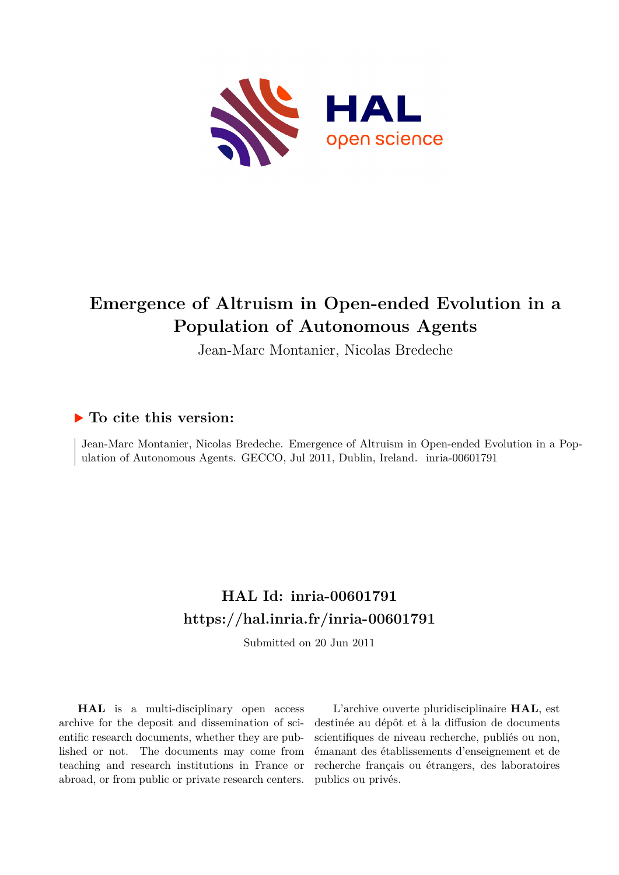

# **Emergence of Altruism in Open-ended Evolution in a Population of Autonomous Agents**

Jean-Marc Montanier, Nicolas Bredeche

### **To cite this version:**

Jean-Marc Montanier, Nicolas Bredeche. Emergence of Altruism in Open-ended Evolution in a Population of Autonomous Agents. GECCO, Jul 2011, Dublin, Ireland. inria-00601791

## **HAL Id: inria-00601791 <https://hal.inria.fr/inria-00601791>**

Submitted on 20 Jun 2011

**HAL** is a multi-disciplinary open access archive for the deposit and dissemination of scientific research documents, whether they are published or not. The documents may come from teaching and research institutions in France or abroad, or from public or private research centers.

L'archive ouverte pluridisciplinaire **HAL**, est destinée au dépôt et à la diffusion de documents scientifiques de niveau recherche, publiés ou non, émanant des établissements d'enseignement et de recherche français ou étrangers, des laboratoires publics ou privés.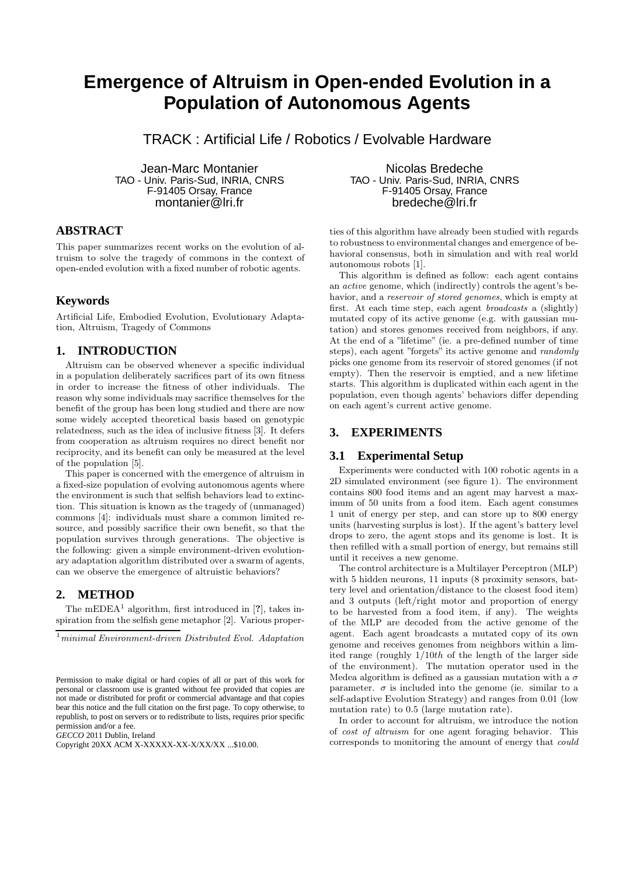### **Emergence of Altruism in Open-ended Evolution in a Population of Autonomous Agents**

TRACK : Artificial Life / Robotics / Evolvable Hardware

Jean-Marc Montanier TAO - Univ. Paris-Sud, INRIA, CNRS F-91405 Orsay, France montanier@lri.fr

#### **ABSTRACT**

This paper summarizes recent works on the evolution of altruism to solve the tragedy of commons in the context of open-ended evolution with a fixed number of robotic agents.

#### **Keywords**

Artificial Life, Embodied Evolution, Evolutionary Adaptation, Altruism, Tragedy of Commons

#### **1. INTRODUCTION**

Altruism can be observed whenever a specific individual in a population deliberately sacrifices part of its own fitness in order to increase the fitness of other individuals. The reason why some individuals may sacrifice themselves for the benefit of the group has been long studied and there are now some widely accepted theoretical basis based on genotypic relatedness, such as the idea of inclusive fitness [3]. It defers from cooperation as altruism requires no direct benefit nor reciprocity, and its benefit can only be measured at the level of the population [5].

This paper is concerned with the emergence of altruism in a fixed-size population of evolving autonomous agents where the environment is such that selfish behaviors lead to extinction. This situation is known as the tragedy of (unmanaged) commons [4]: individuals must share a common limited resource, and possibly sacrifice their own benefit, so that the population survives through generations. The objective is the following: given a simple environment-driven evolutionary adaptation algorithm distributed over a swarm of agents, can we observe the emergence of altruistic behaviors?

#### **2. METHOD**

The mEDEA<sup>1</sup> algorithm, first introduced in [?], takes inspiration from the selfish gene metaphor [2]. Various proper-

 $1$ minimal Environment-driven Distributed Evol. Adaptation

*GECCO* 2011 Dublin, Ireland

Copyright 20XX ACM X-XXXXX-XX-X/XX/XX ...\$10.00.

Nicolas Bredeche TAO - Univ. Paris-Sud, INRIA, CNRS F-91405 Orsay, France bredeche@lri.fr

ties of this algorithm have already been studied with regards to robustness to environmental changes and emergence of behavioral consensus, both in simulation and with real world autonomous robots [1].

This algorithm is defined as follow: each agent contains an active genome, which (indirectly) controls the agent's behavior, and a *reservoir of stored genomes*, which is empty at first. At each time step, each agent broadcasts a (slightly) mutated copy of its active genome (e.g. with gaussian mutation) and stores genomes received from neighbors, if any. At the end of a "lifetime" (ie. a pre-defined number of time steps), each agent "forgets" its active genome and randomly picks one genome from its reservoir of stored genomes (if not empty). Then the reservoir is emptied, and a new lifetime starts. This algorithm is duplicated within each agent in the population, even though agents' behaviors differ depending on each agent's current active genome.

#### **3. EXPERIMENTS**

#### **3.1 Experimental Setup**

Experiments were conducted with 100 robotic agents in a 2D simulated environment (see figure 1). The environment contains 800 food items and an agent may harvest a maximum of 50 units from a food item. Each agent consumes 1 unit of energy per step, and can store up to 800 energy units (harvesting surplus is lost). If the agent's battery level drops to zero, the agent stops and its genome is lost. It is then refilled with a small portion of energy, but remains still until it receives a new genome.

The control architecture is a Multilayer Perceptron (MLP) with 5 hidden neurons, 11 inputs (8 proximity sensors, battery level and orientation/distance to the closest food item) and 3 outputs (left/right motor and proportion of energy to be harvested from a food item, if any). The weights of the MLP are decoded from the active genome of the agent. Each agent broadcasts a mutated copy of its own genome and receives genomes from neighbors within a limited range (roughly 1/10th of the length of the larger side of the environment). The mutation operator used in the Medea algorithm is defined as a gaussian mutation with a  $\sigma$ parameter.  $\sigma$  is included into the genome (ie. similar to a self-adaptive Evolution Strategy) and ranges from 0.01 (low mutation rate) to 0.5 (large mutation rate).

In order to account for altruism, we introduce the notion of cost of altruism for one agent foraging behavior. This corresponds to monitoring the amount of energy that could

Permission to make digital or hard copies of all or part of this work for personal or classroom use is granted without fee provided that copies are not made or distributed for profit or commercial advantage and that copies bear this notice and the full citation on the first page. To copy otherwise, to republish, to post on servers or to redistribute to lists, requires prior specific permission and/or a fee.